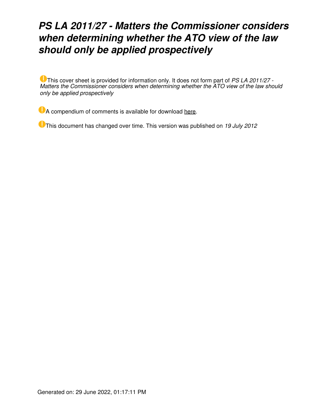# *PS LA 2011/27 - Matters the Commissioner considers when determining whether the ATO view of the law should only be applied prospectively*

This cover sheet is provided for information only. It does not form part of *PS LA 2011/27 - Matters the Commissioner considers when determining whether the ATO view of the law should only be applied prospectively*

**A** compendium of comments is available for download [here.](https://www.ato.gov.au/law/view/pdf/psr/ps11_027cp.pdf)

This document has changed over time. This version was published on *19 July 2012*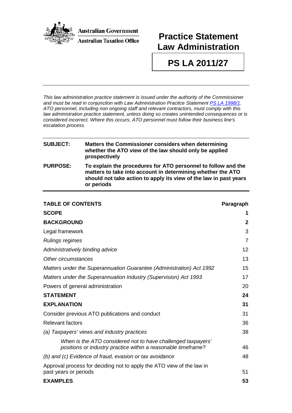

# **Practice Statement Law Administration**

**PS LA 2011/27**

*This law administration practice statement is issued under the authority of the Commissioner and must be read in conjunction with Law Administration Practice Statement [PS LA 1998/1.](http://law.ato.gov.au/view.htm?DocID=PSR/PS19981/NAT/ATO/00001) ATO personnel, including non ongoing staff and relevant contractors, must comply with this law administration practice statement, unless doing so creates unintended consequences or is considered incorrect. Where this occurs, ATO personnel must follow their business line's escalation process.*

# **SUBJECT: Matters the Commissioner considers when determining whether the ATO view of the law should only be applied prospectively PURPOSE: To explain the procedures for ATO personnel to follow and the matters to take into account in determining whether the ATO should not take action to apply its view of the law in past years or periods**

| <b>TABLE OF CONTENTS</b>                                                                                                      | Paragraph    |
|-------------------------------------------------------------------------------------------------------------------------------|--------------|
| <b>SCOPE</b>                                                                                                                  | 1            |
| <b>BACKGROUND</b>                                                                                                             | $\mathbf{2}$ |
| Legal framework                                                                                                               | 3            |
| <b>Rulings regimes</b>                                                                                                        | 7            |
| Administratively binding advice                                                                                               | 12           |
| Other circumstances                                                                                                           | 13           |
| Matters under the Superannuation Guarantee (Administration) Act 1992                                                          | 15           |
| Matters under the Superannuation Industry (Supervision) Act 1993                                                              | 17           |
| Powers of general administration                                                                                              | 20           |
| <b>STATEMENT</b>                                                                                                              | 24           |
| <b>EXPLANATION</b>                                                                                                            | 31           |
| Consider previous ATO publications and conduct                                                                                | 31           |
| <b>Relevant factors</b>                                                                                                       | 36           |
| (a) Taxpayers' views and industry practices                                                                                   | 38           |
| When is the ATO considered not to have challenged taxpayers'<br>positions or industry practice within a reasonable timeframe? | 46           |
| (b) and (c) Evidence of fraud, evasion or tax avoidance                                                                       | 48           |
| Approval process for deciding not to apply the ATO view of the law in<br>past years or periods                                | 51           |
| <b>EXAMPLES</b>                                                                                                               | 53           |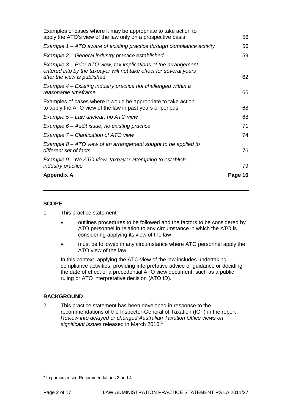| <b>Appendix A</b>                                                                                                                                                     | Page 16 |
|-----------------------------------------------------------------------------------------------------------------------------------------------------------------------|---------|
| Example 9 – No ATO view, taxpayer attempting to establish<br><i>industry practice</i>                                                                                 | 79      |
| Example $8 - ATO$ view of an arrangement sought to be applied to<br>different set of facts                                                                            | 76      |
| Example 7 – Clarification of ATO view                                                                                                                                 | 74      |
| Example $6$ – Audit issue, no existing practice                                                                                                                       | 71      |
| Example 5 – Law unclear, no ATO view                                                                                                                                  | 68      |
| Examples of cases where it would be appropriate to take action<br>to apply the ATO view of the law in past years or periods                                           | 68      |
| Example 4 – Existing industry practice not challenged within a<br>reasonable timeframe                                                                                | 66      |
| Example 3 – Prior ATO view, tax implications of the arrangement<br>entered into by the taxpayer will not take effect for several years<br>after the view is published | 62      |
| Example 2 - General industry practice established                                                                                                                     | 59      |
| Example $1 - ATO$ aware of existing practice through compliance activity                                                                                              | 56      |
| Examples of cases where it may be appropriate to take action to<br>apply the ATO's view of the law only on a prospective basis                                        | 56      |

# **SCOPE**

- 1. This practice statement:
	- outlines procedures to be followed and the factors to be considered by ATO personnel in relation to any circumstance in which the ATO is considering applying its view of the law
	- must be followed in any circumstance where ATO personnel apply the ATO view of the law.

In this context, applying the ATO view of the law includes undertaking compliance activities, providing interpretative advice or guidance or deciding the date of effect of a precedential ATO view document, such as a public ruling or ATO interpretative decision (ATO ID).

# **BACKGROUND**

2. This practice statement has been developed in response to the recommendations of the Inspector-General of Taxation (IGT) in the report *Review into delayed or changed Australian Taxation Office views on*  significant issues released in March 20[1](#page-2-0)0.<sup>1</sup>

<span id="page-2-0"></span> $1$  In particular see Recommendations 2 and 4.  $\overline{\phantom{a}}$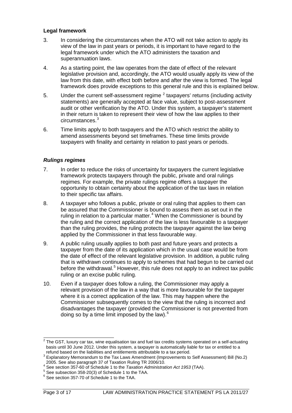#### **Legal framework**

- 3. In considering the circumstances when the ATO will not take action to apply its view of the law in past years or periods, it is important to have regard to the legal framework under which the ATO administers the taxation and superannuation laws.
- 4. As a starting point, the law operates from the date of effect of the relevant legislative provision and, accordingly, the ATO would usually apply its view of the law from this date, with effect both before and after the view is formed. The legal framework does provide exceptions to this general rule and this is explained below.
- 5. Under the current self-assessment regime  $<sup>2</sup>$  $<sup>2</sup>$  $<sup>2</sup>$  taxpayers' returns (including activity</sup> statements) are generally accepted at face value, subject to post-assessment audit or other verification by the ATO. Under this system, a taxpayer's statement in their return is taken to represent their view of how the law applies to their circumstances.[3](#page-3-1)
- 6. Time limits apply to both taxpayers and the ATO which restrict the ability to amend assessments beyond set timeframes. These time limits provide taxpayers with finality and certainty in relation to past years or periods.

# *Rulings regimes*

- 7. In order to reduce the risks of uncertainty for taxpayers the current legislative framework protects taxpayers through the public, private and oral rulings regimes. For example, the private rulings regime offers a taxpayer the opportunity to obtain certainty about the application of the tax laws in relation to their specific tax affairs.
- 8. A taxpayer who follows a public, private or oral ruling that applies to them can be assured that the Commissioner is bound to assess them as set out in the ruling in relation to a particular matter. $4$  When the Commissioner is bound by the ruling and the correct application of the law is less favourable to a taxpayer than the ruling provides, the ruling protects the taxpayer against the law being applied by the Commissioner in that less favourable way.
- 9. A public ruling usually applies to both past and future years and protects a taxpayer from the date of its application which in the usual case would be from the date of effect of the relevant legislative provision. In addition, a public ruling that is withdrawn continues to apply to schemes that had begun to be carried out before the withdrawal.<sup>[5](#page-3-3)</sup> However, this rule does not apply to an indirect tax public ruling or an excise public ruling.
- 10. Even if a taxpayer does follow a ruling, the Commissioner may apply a relevant provision of the law in a way that is more favourable for the taxpayer where it is a correct application of the law. This may happen where the Commissioner subsequently comes to the view that the ruling is incorrect and disadvantages the taxpayer (provided the Commissioner is not prevented from doing so by a time limit imposed by the law). $6$

<span id="page-3-0"></span> $^{2}$  The GST, luxury car tax, wine equalisation tax and fuel tax credits systems operated on a self-actuating basis until 30 June 2012. Under this system, a taxpayer is automatically liable for tax or entitled to a refund based on the liabilities and entitlements attributable to a tax period.  $\overline{\phantom{a}}$ 

<span id="page-3-1"></span>refund based on the liabilities and entitlements attributable to a tax period. <sup>3</sup> Explanatory Memorandum to the Tax Laws Amendment (Improvements to Self Assessment) Bill (No.2) 2005. See also paragraph 37 of Taxation Ruling TR 2006/10.<br>
<sup>4</sup> See section 357-60 of Schedule 1 to the *Taxation Administration Act 1953* (TAA).<br>
<sup>5</sup> See subsection 358-20(3) of Schedule 1 to the TAA.<br>
<sup>6</sup> See section 357

<span id="page-3-2"></span>

<span id="page-3-3"></span>

<span id="page-3-4"></span>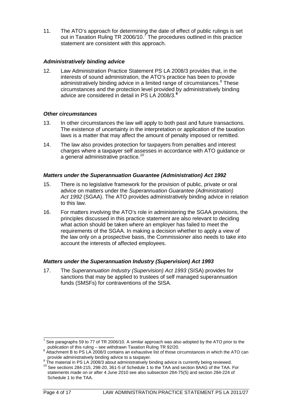11. The ATO's approach for determining the date of effect of public rulings is set out in Taxation Ruling TR 2006/10.<sup> $\bar{\tau}$ </sup> The procedures outlined in this practice statement are consistent with this approach.

# *Administratively binding advice*

12. Law Administration Practice Statement PS LA 2008/3 provides that, in the interests of sound administration, the ATO's practice has been to provide administratively binding advice in a limited range of circumstances.<sup>[8](#page-4-1)</sup> These circumstances and the protection level provided by administratively binding advice are considered in detail in PS LA 2008/3. **[9](#page-4-2)**

# *Other circumstances*

- 13. In other circumstances the law will apply to both past and future transactions. The existence of uncertainty in the interpretation or application of the taxation laws is a matter that may affect the amount of penalty imposed or remitted.
- 14. The law also provides protection for taxpayers from penalties and interest charges where a taxpayer self assesses in accordance with ATO guidance or a general administrative practice.<sup>[10](#page-4-3)</sup>

# *Matters under the Superannuation Guarantee (Administration) Act 1992*

- 15. There is no legislative framework for the provision of public, private or oral advice on matters under the *Superannuation Guarantee (Administration) Act 1992* (SGAA). The ATO provides administratively binding advice in relation to this law.
- 16. For matters involving the ATO's role in administering the SGAA provisions, the principles discussed in this practice statement are also relevant to deciding what action should be taken where an employer has failed to meet the requirements of the SGAA. In making a decision whether to apply a view of the law only on a prospective basis, the Commissioner also needs to take into account the interests of affected employees.

# *Matters under the Superannuation Industry (Supervision) Act 1993*

17. The *Superannuation Industry (Supervision) Act 1993* (SISA) provides for sanctions that may be applied to trustees of self managed superannuation funds (SMSFs) for contraventions of the SISA.

See paragraphs 59 to 77 of TR 2006/10. A similar approach was also adopted by the ATO prior to the  $\overline{a}$ 

<span id="page-4-1"></span><span id="page-4-0"></span>publication of this ruling – see withdrawn Taxation Ruling TR 92/20.<br><sup>8</sup> Attachment B to PS LA 2008/3 contains an exhaustive list of those circumstances in which the ATO can<br>provide administratively binding advice to a tax

<span id="page-4-3"></span><span id="page-4-2"></span><sup>&</sup>lt;sup>9</sup> The material in PS LA 2008/3 about administratively binding advice is currently being reviewed.<br><sup>10</sup> See sections 284-215, 298-20, 361-5 of Schedule 1 to the TAA and section 8AAG of the TAA. For statements made on or after 4 June 2010 see also subsection 284-75(5) and section 284-224 of Schedule 1 to the TAA.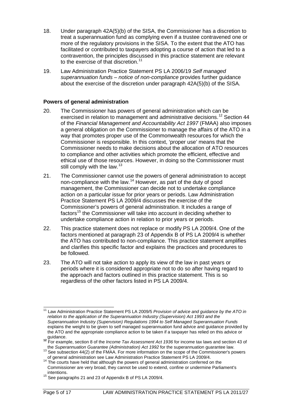- 18. Under paragraph 42A(5)(b) of the SISA, the Commissioner has a discretion to treat a superannuation fund as complying even if a trustee contravened one or more of the regulatory provisions in the SISA. To the extent that the ATO has facilitated or contributed to taxpayers adopting a course of action that led to a contravention, the principles discussed in this practice statement are relevant to the exercise of that discretion.<sup>[11](#page-5-0)</sup>
- 19. Law Administration Practice Statement PS LA 2006/19 *Self managed superannuation funds – notice of non-compliance* provides further guidance about the exercise of the discretion under paragraph 42A(5)(b) of the SISA.

# **Powers of general administration**

- 20. The Commissioner has powers of general administration which can be exercised in relation to management and administrative decisions.<sup>[12](#page-5-1)</sup> Section 44 of the *Financial Management and Accountability Act 1997* (FMAA) also imposes a general obligation on the Commissioner to manage the affairs of the ATO in a way that promotes proper use of the Commonwealth resources for which the Commissioner is responsible. In this context, 'proper use' means that the Commissioner needs to make decisions about the allocation of ATO resources to compliance and other activities which promote the efficient, effective and ethical use of those resources. However, in doing so the Commissioner must still comply with the law. $13$
- 21. The Commissioner cannot use the powers of general administration to accept non-compliance with the law.[14](#page-5-3) However, as part of the duty of good management, the Commissioner can decide not to undertake compliance action on a particular issue for prior years or periods. Law Administration Practice Statement PS LA 2009/4 discusses the exercise of the Commissioner's powers of general administration. It includes a range of factors<sup>[15](#page-5-4)</sup> the Commissioner will take into account in deciding whether to undertake compliance action in relation to prior years or periods.
- 22. This practice statement does not replace or modify PS LA 2009/4. One of the factors mentioned at paragraph 23 of Appendix B of PS LA 2009/4 is whether the ATO has contributed to non-compliance. This practice statement amplifies and clarifies this specific factor and explains the practices and procedures to be followed.
- 23. The ATO will not take action to apply its view of the law in past years or periods where it is considered appropriate not to do so after having regard to the approach and factors outlined in this practice statement. This is so regardless of the other factors listed in PS LA 2009/4.

<span id="page-5-0"></span><sup>&</sup>lt;sup>11</sup> Law Administration Practice Statement PS LA 2009/5 *Provision of advice and guidance by the ATO in relation to the application of the Superannuation Industry (Supervision) Act 1993 and the Superannuation Industry (Supervision) Regulations 1994 to Self Managed Superannuation Funds* explains the weight to be given to self managed superannuation fund advice and guidance provided by the ATO and the appropriate compliance action to be taken if a taxpayer has relied on this advice or  $\overline{\phantom{a}}$ 

<span id="page-5-1"></span>guidance.<br><sup>12</sup> For example, section 8 of the *Income Tax Assessment Act 1936* for income tax laws and section 43 of<br>the *Superannuation Guarantee (Administration) Act 1992* for the superannuation guarantee law.

<span id="page-5-2"></span><sup>&</sup>lt;sup>13</sup> See subsection 44(2) of the FMAA. For more information on the scope of the Commissioner's powers of general administration see Law Administration Practice Statement PS LA 2009/4. <sup>14</sup> The courts have held that although the powers of general administration conferred on the

<span id="page-5-3"></span>Commissioner are very broad, they cannot be used to extend, confine or undermine Parliament's

<span id="page-5-4"></span><sup>&</sup>lt;sup>15</sup> See paragraphs 21 and 23 of Appendix B of PS LA 2009/4.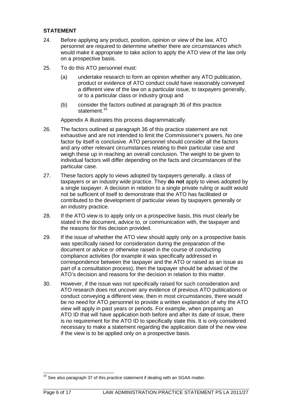# **STATEMENT**

- 24. Before applying any product, position, opinion or view of the law, ATO personnel are required to determine whether there are circumstances which would make it appropriate to take action to apply the ATO view of the law only on a prospective basis.
- 25. To do this ATO personnel must:
	- (a) undertake research to form an opinion whether any ATO publication, product or evidence of ATO conduct could have reasonably conveyed a different view of the law on a particular issue, to taxpayers generally, or to a particular class or industry group and
	- (b) consider the factors outlined at paragraph 36 of this practice statement.<sup>[16](#page-6-0)</sup>

Appendix A illustrates this process diagrammatically.

- 26. The factors outlined at paragraph 36 of this practice statement are not exhaustive and are not intended to limit the Commissioner's powers. No one factor by itself is conclusive. ATO personnel should consider all the factors and any other relevant circumstances relating to their particular case and weigh these up in reaching an overall conclusion. The weight to be given to individual factors will differ depending on the facts and circumstances of the particular case.
- 27. These factors apply to views adopted by taxpayers generally, a class of taxpayers or an industry wide practice. They **do not** apply to views adopted by a single taxpayer. A decision in relation to a single private ruling or audit would not be sufficient of itself to demonstrate that the ATO has facilitated or contributed to the development of particular views by taxpayers generally or an industry practice.
- 28. If the ATO view is to apply only on a prospective basis, this must clearly be stated in the document, advice to, or communication with, the taxpayer and the reasons for this decision provided.
- 29. If the issue of whether the ATO view should apply only on a prospective basis was specifically raised for consideration during the preparation of the document or advice or otherwise raised in the course of conducting compliance activities (for example it was specifically addressed in correspondence between the taxpayer and the ATO or raised as an issue as part of a consultation process), then the taxpayer should be advised of the ATO's decision and reasons for the decision in relation to this matter.
- 30. However, if the issue was not specifically raised for such consideration and ATO research does not uncover any evidence of previous ATO publications or conduct conveying a different view, then in most circumstances, there would be no need for ATO personnel to provide a written explanation of why the ATO view will apply in past years or periods. For example, when preparing an ATO ID that will have application both before and after its date of issue, there is no requirement for the ATO ID to specifically state this. It is only considered necessary to make a statement regarding the application date of the new view if the view is to be applied only on a prospective basis.

<span id="page-6-0"></span> $16$  See also paragraph 37 of this practice statement if dealing with an SGAA matter.  $\overline{\phantom{a}}$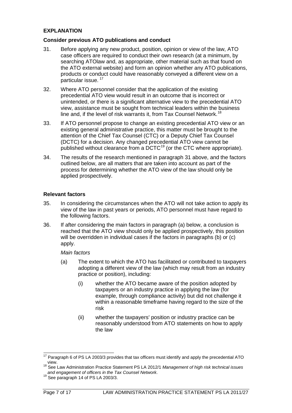# **EXPLANATION**

#### **Consider previous ATO publications and conduct**

- 31. Before applying any new product, position, opinion or view of the law, ATO case officers are required to conduct their own research (at a minimum, by searching ATOlaw and, as appropriate, other material such as that found on the ATO external website) and form an opinion whether any ATO publications, products or conduct could have reasonably conveyed a different view on a particular issue. [17](#page-7-0)
- 32. Where ATO personnel consider that the application of the existing precedential ATO view would result in an outcome that is incorrect or unintended, or there is a significant alternative view to the precedential ATO view, assistance must be sought from technical leaders within the business line and, if the level of risk warrants it, from Tax Counsel Network.<sup>[18](#page-7-1)</sup>
- 33. If ATO personnel propose to change an existing precedential ATO view or an existing general administrative practice, this matter must be brought to the attention of the Chief Tax Counsel (CTC) or a Deputy Chief Tax Counsel (DCTC) for a decision. Any changed precedential ATO view cannot be published without clearance from a DCTC<sup>[19](#page-7-2)</sup> (or the CTC where appropriate).
- 34. The results of the research mentioned in paragraph 31 above, and the factors outlined below, are all matters that are taken into account as part of the process for determining whether the ATO view of the law should only be applied prospectively.

# **Relevant factors**

- 35. In considering the circumstances when the ATO will not take action to apply its view of the law in past years or periods, ATO personnel must have regard to the following factors.
- 36. If after considering the main factors in paragraph (a) below, a conclusion is reached that the ATO view should only be applied prospectively, this position will be overridden in individual cases if the factors in paragraphs (b) or (c) apply.

#### *Main factors*

- (a) The extent to which the ATO has facilitated or contributed to taxpayers adopting a different view of the law (which may result from an industry practice or position), including:
	- (i) whether the ATO became aware of the position adopted by taxpayers or an industry practice in applying the law (for example, through compliance activity) but did not challenge it within a reasonable timeframe having regard to the size of the risk
	- (ii) whether the taxpayers' position or industry practice can be reasonably understood from ATO statements on how to apply the law

<span id="page-7-0"></span> $17$  Paragraph 6 of PS LA 2003/3 provides that tax officers must identify and apply the precedential ATO  $\overline{\phantom{a}}$ 

<span id="page-7-1"></span>view. <sup>18</sup> See Law Administration Practice Statement PS LA 2012/1 *Management of high risk technical issues and engagement of officers in the Tax Counsel Network*. 19 See paragraph 14 of PS LA 2003/3.

<span id="page-7-2"></span>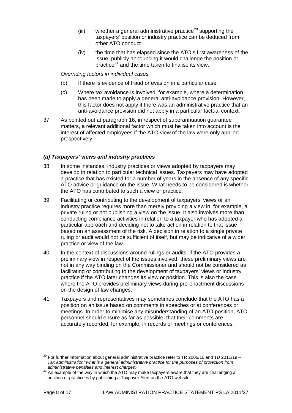- (iii) whether a general administrative practice<sup>[20](#page-8-0)</sup> supporting the taxpayers' position or industry practice can be deduced from other ATO conduct
- (iv) the time that has elapsed since the ATO's first awareness of the issue, publicly announcing it would challenge the position or practice<sup>[21](#page-8-1)</sup> and the time taken to finalise its view.

# *Overriding factors in individual cases*

- (b) If there is evidence of fraud or evasion in a particular case.
- (c) Where tax avoidance is involved, for example, where a determination has been made to apply a general anti-avoidance provision. However, this factor does not apply if there was an administrative practice that an anti-avoidance provision did not apply in a particular factual context.
- 37. As pointed out at paragraph 16, in respect of superannuation guarantee matters, a relevant additional factor which must be taken into account is the interest of affected employees if the ATO view of the law were only applied prospectively.

# *(a) Taxpayers' views and industry practices*

- 38. In some instances, industry practices or views adopted by taxpayers may develop in relation to particular technical issues. Taxpayers may have adopted a practice that has existed for a number of years in the absence of any specific ATO advice or guidance on the issue. What needs to be considered is whether the ATO has contributed to such a view or practice.
- 39. Facilitating or contributing to the development of taxpayers' views or an industry practice requires more than merely providing a view in, for example, a private ruling or not publishing a view on the issue. It also involves more than conducting compliance activities in relation to a taxpayer who has adopted a particular approach and deciding not to take action in relation to that issue based on an assessment of the risk. A decision in relation to a single private ruling or audit would not be sufficient of itself, but may be indicative of a wider practice or view of the law.
- 40. In the context of discussions around rulings or audits, if the ATO provides a preliminary view in respect of the issues involved, these preliminary views are not in any way binding on the Commissioner and should not be considered as facilitating or contributing to the development of taxpayers' views or industry practice if the ATO later changes its view or position. This is also the case where the ATO provides preliminary views during pre-enactment discussions on the design of law changes.
- 41. Taxpayers and representatives may sometimes conclude that the ATO has a position on an issue based on comments in speeches or at conferences or meetings. In order to minimise any misunderstanding of an ATO position, ATO personnel should ensure as far as possible, that their comments are accurately recorded, for example, in records of meetings or conferences.

<span id="page-8-0"></span> $^{20}$  For further information about general administrative practice refer to TR 2006/10 and TD 2011/19 – *Tax administration: what is a general administrative practice for the purposes of protection from*   $\overline{a}$ 

<span id="page-8-1"></span><sup>&</sup>lt;sup>21</sup> An example of the way in which the ATO may make taxpayers aware that they are challenging a position or practice is by publishing a Taxpayer Alert on the ATO website.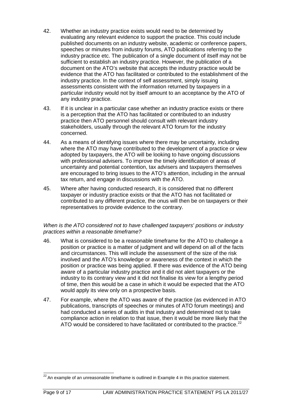- 42. Whether an industry practice exists would need to be determined by evaluating any relevant evidence to support the practice. This could include published documents on an industry website, academic or conference papers, speeches or minutes from industry forums, ATO publications referring to the industry practice etc. The publication of a single document of itself may not be sufficient to establish an industry practice. However, the publication of a document on the ATO's website that accepts the industry practice would be evidence that the ATO has facilitated or contributed to the establishment of the industry practice. In the context of self assessment, simply issuing assessments consistent with the information returned by taxpayers in a particular industry would not by itself amount to an acceptance by the ATO of any industry practice.
- 43. If it is unclear in a particular case whether an industry practice exists or there is a perception that the ATO has facilitated or contributed to an industry practice then ATO personnel should consult with relevant industry stakeholders, usually through the relevant ATO forum for the industry concerned.
- 44. As a means of identifying issues where there may be uncertainty, including where the ATO may have contributed to the development of a practice or view adopted by taxpayers, the ATO will be looking to have ongoing discussions with professional advisers. To improve the timely identification of areas of uncertainty and potential contention, tax advisers and taxpayers themselves are encouraged to bring issues to the ATO's attention, including in the annual tax return, and engage in discussions with the ATO.
- 45. Where after having conducted research, it is considered that no different taxpayer or industry practice exists or that the ATO has not facilitated or contributed to any different practice, the onus will then be on taxpayers or their representatives to provide evidence to the contrary.

#### *When is the ATO considered not to have challenged taxpayers' positions or industry practices within a reasonable timeframe?*

- 46. What is considered to be a reasonable timeframe for the ATO to challenge a position or practice is a matter of judgment and will depend on all of the facts and circumstances. This will include the assessment of the size of the risk involved and the ATO's knowledge or awareness of the context in which the position or practice was being applied. If there was evidence of the ATO being aware of a particular industry practice and it did not alert taxpayers or the industry to its contrary view and it did not finalise its view for a lengthy period of time, then this would be a case in which it would be expected that the ATO would apply its view only on a prospective basis.
- 47. For example, where the ATO was aware of the practice (as evidenced in ATO publications, transcripts of speeches or minutes of ATO forum meetings) and had conducted a series of audits in that industry and determined not to take compliance action in relation to that issue, then it would be more likely that the ATO would be considered to have facilitated or contributed to the practice. $^{22}$  $^{22}$  $^{22}$

<span id="page-9-0"></span> $22$  An example of an unreasonable timeframe is outlined in Example 4 in this practice statement.  $\overline{a}$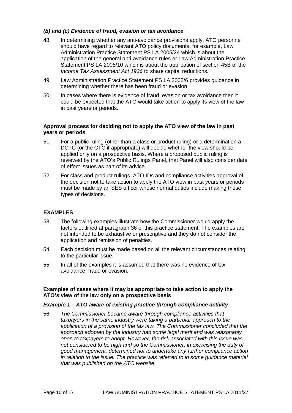# *(b) and (c) Evidence of fraud, evasion or tax avoidance*

- 48. In determining whether any anti-avoidance provisions apply, ATO personnel should have regard to relevant ATO policy documents, for example, Law Administration Practice Statement PS LA 2005/24 which is about the application of the general anti-avoidance rules or Law Administration Practice Statement PS LA 2008/10 which is about the application of section 45B of the *Income Tax Assessment Act 1936* to share capital reductions.
- 49. Law Administration Practice Statement PS LA 2008/6 provides guidance in determining whether there has been fraud or evasion.
- 50. In cases where there is evidence of fraud, evasion or tax avoidance then it could be expected that the ATO would take action to apply its view of the law in past years or periods.

#### **Approval process for deciding not to apply the ATO view of the law in past years or periods**

- 51. For a public ruling (other than a class or product ruling) or a determination a DCTC (or the CTC if appropriate) will decide whether the view should be applied only on a prospective basis. Where a proposed public ruling is reviewed by the ATO's Public Rulings Panel, that Panel will also consider date of effect issues as part of its advice.
- 52. For class and product rulings, ATO IDs and compliance activities approval of the decision not to take action to apply the ATO view in past years or periods must be made by an SES officer whose normal duties include making these types of decisions.

# **EXAMPLES**

- 53. The following examples illustrate how the Commissioner would apply the factors outlined at paragraph 36 of this practice statement. The examples are not intended to be exhaustive or prescriptive and they do not consider the application and remission of penalties.
- 54. Each decision must be made based on all the relevant circumstances relating to the particular issue.
- 55. In all of the examples it is assumed that there was no evidence of tax avoidance, fraud or evasion.

#### **Examples of cases where it may be appropriate to take action to apply the ATO's view of the law only on a prospective basis**

#### *Example 1 – ATO aware of existing practice through compliance activity*

56. *The Commissioner became aware through compliance activities that taxpayers in the same industry were taking a particular approach to the application of a provision of the tax law. The Commissioner concluded that the approach adopted by the industry had some legal merit and was reasonably open to taxpayers to adopt. However, the risk associated with this issue was not considered to be high and so the Commissioner, in exercising the duty of good management, determined not to undertake any further compliance action in relation to the issue. The practice was referred to in some guidance material that was published on the ATO website.*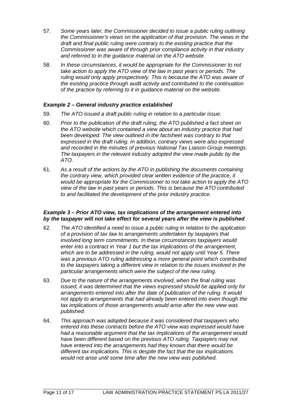- 57. *Some years later, the Commissioner decided to issue a public ruling outlining the Commissioner's views on the application of that provision. The views in the draft and final public ruling were contrary to the existing practice that the Commissioner was aware of through prior compliance activity in that industry and referred to in the guidance material on the ATO website.*
- 58. *In these circumstances, it would be appropriate for the Commissioner to not take action to apply the ATO view of the law in past years or periods. The ruling would only apply prospectively. This is because the ATO was aware of the existing practice through audit activity and contributed to the continuation of the practice by referring to it in guidance material on the website.*

# *Example 2 – General industry practice established*

- 59. *The ATO issued a draft public ruling in relation to a particular issue.*
- 60. *Prior to the publication of the draft ruling, the ATO published a fact sheet on the ATO website which contained a view about an industry practice that had been developed. The view outlined in the factsheet was contrary to that expressed in the draft ruling. In addition, contrary views were also expressed and recorded in the minutes of previous National Tax Liaison Group meetings. The taxpayers in the relevant industry adopted the view made public by the ATO.*
- 61. *As a result of the actions by the ATO in publishing the documents containing the contrary view, which provided clear written evidence of the practice, it would be appropriate for the Commissioner to not take action to apply the ATO view of the law in past years or periods. This is because the ATO contributed to and facilitated the development of the prior industry practice.*

#### *Example 3 – Prior ATO view, tax implications of the arrangement entered into by the taxpayer will not take effect for several years after the view is published*

- 62. *The ATO identified a need to issue a public ruling in relation to the application of a provision of tax law to arrangements undertaken by taxpayers that involved long term commitments. In these circumstances taxpayers would enter into a contract in Year 1 but the tax implications of the arrangement, which are to be addressed in the ruling, would not apply until Year 5. There was a previous ATO ruling addressing a more general point which contributed to the taxpayers taking a different view in relation to the issues involved in the particular arrangements which were the subject of the new ruling.*
- 63. *Due to the nature of the arrangements involved, when the final ruling was issued, it was determined that the views expressed should be applied only for arrangements entered into after the date of publication of the ruling. It would not apply to arrangements that had already been entered into even though the tax implications of those arrangements would arise after the new view was published.*
- 64. *This approach was adopted because it was considered that taxpayers who entered into these contracts before the ATO view was expressed would have had a reasonable argument that the tax implications of the arrangement would have been different based on the previous ATO ruling. Taxpayers may not have entered into the arrangements had they known that there would be different tax implications. This is despite the fact that the tax implications would not arise until some time after the new view was published.*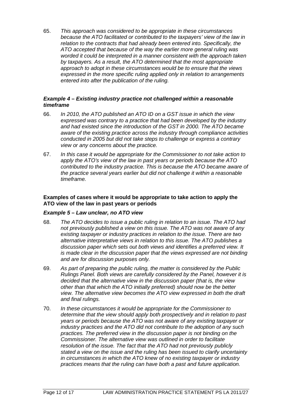65. *This approach was considered to be appropriate in these circumstances because the ATO facilitated or contributed to the taxpayers' view of the law in relation to the contracts that had already been entered into. Specifically, the ATO accepted that because of the way the earlier more general ruling was worded it could be interpreted in a manner consistent with the approach taken by taxpayers. As a result, the ATO determined that the most appropriate approach to adopt in these circumstances would be to ensure that the views expressed in the more specific ruling applied only in relation to arrangements entered into after the publication of the ruling.*

#### *Example 4 – Existing industry practice not challenged within a reasonable timeframe*

- 66. *In 2010, the ATO published an ATO ID on a GST issue in which the view expressed was contrary to a practice that had been developed by the industry and had existed since the introduction of the GST in 2000. The ATO became aware of the existing practice across the industry through compliance activities conducted in 2005 but did not take steps to challenge or express a contrary view or any concerns about the practice.*
- 67. *In this case it would be appropriate for the Commissioner to not take action to apply the ATO's view of the law in past years or periods because the ATO contributed to the industry practice. This is because the ATO became aware of the practice several years earlier but did not challenge it within a reasonable timeframe.*

#### **Examples of cases where it would be appropriate to take action to apply the ATO view of the law in past years or periods**

#### *Example 5 – Law unclear, no ATO view*

- 68. *The ATO decides to issue a public ruling in relation to an issue. The ATO had not previously published a view on this issue. The ATO was not aware of any existing taxpayer or industry practices in relation to the issue. There are two alternative interpretative views in relation to this issue. The ATO publishes a discussion paper which sets out both views and identifies a preferred view. It is made clear in the discussion paper that the views expressed are not binding and are for discussion purposes only.*
- 69. *As part of preparing the public ruling, the matter is considered by the Public Rulings Panel. Both views are carefully considered by the Panel, however it is decided that the alternative view in the discussion paper (that is, the view other than that which the ATO initially preferred) should now be the better view. The alternative view becomes the ATO view expressed in both the draft and final rulings.*
- 70. *In these circumstances it would be appropriate for the Commissioner to determine that the view should apply both prospectively and in relation to past years or periods because the ATO was not aware of any existing taxpayer or industry practices and the ATO did not contribute to the adoption of any such practices. The preferred view in the discussion paper is not binding on the Commissioner. The alternative view was outlined in order to facilitate resolution of the issue. The fact that the ATO had not previously publicly stated a view on the issue and the ruling has been issued to clarify uncertainty in circumstances in which the ATO knew of no existing taxpayer or industry practices means that the ruling can have both a past and future application.*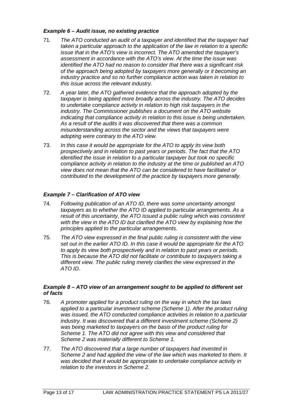# *Example 6 – Audit issue, no existing practice*

- 71. *The ATO conducted an audit of a taxpayer and identified that the taxpayer had taken a particular approach to the application of the law in relation to a specific issue that in the ATO's view is incorrect. The ATO amended the taxpayer's assessment in accordance with the ATO's view. At the time the issue was identified the ATO had no reason to consider that there was a significant risk of the approach being adopted by taxpayers more generally or it becoming an industry practice and so no further compliance action was taken in relation to this issue across the relevant industry.*
- 72. *A year later, the ATO gathered evidence that the approach adopted by the taxpayer is being applied more broadly across the industry. The ATO decides to undertake compliance activity in relation to high risk taxpayers in the industry. The Commissioner publishes a document on the ATO website indicating that compliance activity in relation to this issue is being undertaken. As a result of the audits it was discovered that there was a common misunderstanding across the sector and the views that taxpayers were adopting were contrary to the ATO view.*
- 73. *In this case it would be appropriate for the ATO to apply its view both prospectively and in relation to past years or periods. The fact that the ATO identified the issue in relation to a particular taxpayer but took no specific compliance activity in relation to the industry at the time or published an ATO view does not mean that the ATO can be considered to have facilitated or contributed to the development of the practice by taxpayers more generally.*

# *Example 7 – Clarification of ATO view*

- 74. *Following publication of an ATO ID, there was some uncertainty amongst taxpayers as to whether the ATO ID applied to particular arrangements. As a result of this uncertainty, the ATO issued a public ruling which was consistent with the view in the ATO ID but clarified the ATO view by explaining how the principles applied to the particular arrangements.*
- 75. *The ATO view expressed in the final public ruling is consistent with the view set out in the earlier ATO ID. In this case it would be appropriate for the ATO to apply its view both prospectively and in relation to past years or periods. This is because the ATO did not facilitate or contribute to taxpayers taking a different view. The public ruling merely clarifies the view expressed in the ATO ID.*

# *Example 8 – ATO view of an arrangement sought to be applied to different set of facts*

- 76. *A promoter applied for a product ruling on the way in which the tax laws applied to a particular investment scheme (Scheme 1). After the product ruling*  was *issued, the ATO conducted compliance activities in relation to a particular industry. It was discovered that a different investment scheme (Scheme 2) was being marketed to taxpayers on the basis of the product ruling for Scheme 1. The ATO did not agree with this view and considered that Scheme 2 was materially different to Scheme 1.*
- 77. *The ATO discovered that a large number of taxpayers had invested in Scheme 2 and had applied the view of the law which was marketed to them. It was decided that it would be appropriate to undertake compliance activity in relation to the investors in Scheme 2.*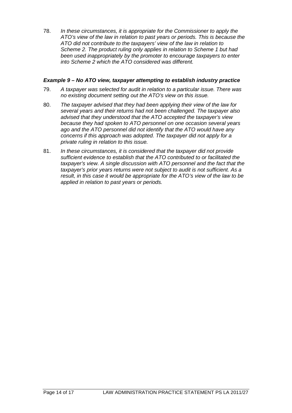78. *In these circumstances, it is appropriate for the Commissioner to apply the ATO's view of the law in relation to past years or periods. This is because the ATO did not contribute to the taxpayers' view of the law in relation to Scheme 2. The product ruling only applies in relation to Scheme 1 but had been used inappropriately by the promoter to encourage taxpayers to enter into Scheme 2 which the ATO considered was different.*

# *Example 9 – No ATO view, taxpayer attempting to establish industry practice*

- 79. *A taxpayer was selected for audit in relation to a particular issue. There was no existing document setting out the ATO's view on this issue.*
- 80. *The taxpayer advised that they had been applying their view of the law for several years and their returns had not been challenged. The taxpayer also advised that they understood that the ATO accepted the taxpayer's view because they had spoken to ATO personnel on one occasion several years ago and the ATO personnel did not identify that the ATO would have any concerns if this approach was adopted. The taxpayer did not apply for a private ruling in relation to this issue.*
- 81. *In these circumstances, it is considered that the taxpayer did not provide sufficient evidence to establish that the ATO contributed to or facilitated the taxpayer's view. A single discussion with ATO personnel and the fact that the taxpayer's prior years returns were not subject to audit is not sufficient. As a result, in this case it would be appropriate for the ATO's view of the law to be applied in relation to past years or periods.*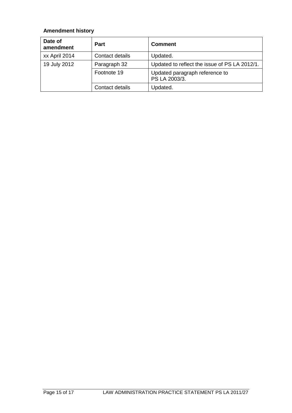# **Amendment history**

| Date of<br>amendment | <b>Part</b>     | <b>Comment</b>                                  |
|----------------------|-----------------|-------------------------------------------------|
| xx April 2014        | Contact details | Updated.                                        |
| 19 July 2012         | Paragraph 32    | Updated to reflect the issue of PS LA 2012/1.   |
|                      | Footnote 19     | Updated paragraph reference to<br>PS LA 2003/3. |
|                      | Contact details | Updated.                                        |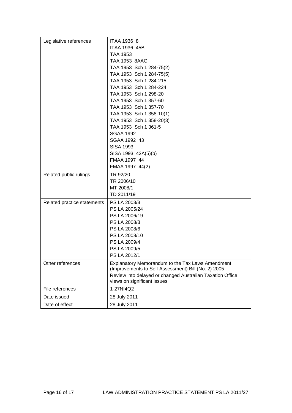| Legislative references      | <b>ITAA 1936 8</b>                                        |
|-----------------------------|-----------------------------------------------------------|
|                             | ITAA 1936 45B                                             |
|                             | TAA 1953                                                  |
|                             | TAA 1953 8AAG                                             |
|                             | TAA 1953 Sch 1 284-75(2)                                  |
|                             | TAA 1953 Sch 1 284-75(5)                                  |
|                             | TAA 1953 Sch 1 284-215                                    |
|                             | TAA 1953 Sch 1 284-224                                    |
|                             | TAA 1953 Sch 1 298-20                                     |
|                             | TAA 1953 Sch 1 357-60                                     |
|                             | TAA 1953 Sch 1 357-70                                     |
|                             | TAA 1953 Sch 1 358-10(1)                                  |
|                             | TAA 1953 Sch 1 358-20(3)                                  |
|                             | TAA 1953 Sch 1 361-5                                      |
|                             | <b>SGAA 1992</b>                                          |
|                             | SGAA 1992 43                                              |
|                             | <b>SISA 1993</b>                                          |
|                             | SISA 1993 42A(5)(b)                                       |
|                             | FMAA 1997 44                                              |
|                             | FMAA 1997 44(2)                                           |
| Related public rulings      | TR 92/20                                                  |
|                             | TR 2006/10                                                |
|                             | MT 2008/1                                                 |
|                             | TD 2011/19                                                |
| Related practice statements | PS LA 2003/3                                              |
|                             | PS LA 2005/24                                             |
|                             | PS LA 2006/19                                             |
|                             | PS LA 2008/3                                              |
|                             | PS LA 2008/6                                              |
|                             | PS LA 2008/10                                             |
|                             | PS LA 2009/4                                              |
|                             | PS LA 2009/5                                              |
|                             | PS LA 2012/1                                              |
| Other references            | Explanatory Memorandum to the Tax Laws Amendment          |
|                             | (Improvements to Self Assessment) Bill (No. 2) 2005       |
|                             | Review into delayed or changed Australian Taxation Office |
|                             | views on significant issues                               |
| File references             | 1-27NI4Q2                                                 |
| Date issued                 | 28 July 2011                                              |
| Date of effect              | 28 July 2011                                              |